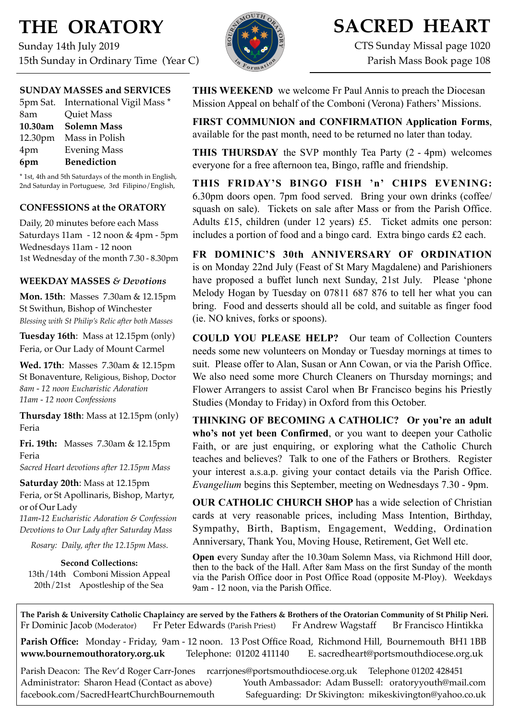# **THE ORATORY**

Sunday 14th July 2019 15th Sunday in Ordinary Time (Year C)

## **SUNDAY MASSES and SERVICES**

|     | 5pm Sat. International Vigil Mass * |
|-----|-------------------------------------|
| 8am | Quiet Mass                          |
|     | 10.30am Solemn Mass                 |
|     | 12.30pm Mass in Polish              |
| 4pm | <b>Evening Mass</b>                 |
| 6pm | <b>Benediction</b>                  |

\* 1st, 4th and 5th Saturdays of the month in English, 2nd Saturday in Portuguese, 3rd Filipino/English,

### **CONFESSIONS at the ORATORY**

Daily, 20 minutes before each Mass Saturdays 11am - 12 noon & 4pm - 5pm Wednesdays 11am - 12 noon 1st Wednesday of the month 7.30 - 8.30pm

## **WEEKDAY MASSES** *& Devotions*

**Mon. 15th**: Masses 7.30am & 12.15pm St Swithun, Bishop of Winchester *Blessing with St Philip's Relic after both Masses*

**Tuesday 16th**: Mass at 12.15pm (only) Feria, or Our Lady of Mount Carmel

**Wed. 17th**: Masses7.30am & 12.15pm St Bonaventure, Religious, Bishop, Doctor *8am - 12 noon Eucharistic Adoration 11am - 12 noon Confessions*

**Thursday 18th**: Mass at 12.15pm (only) Feria

**Fri. 19th:** Masses 7.30am & 12.15pm Feria *Sacred Heart devotions after 12.15pm Mass*

**Saturday 20th**: Mass at 12.15pm Feria, or St Apollinaris, Bishop, Martyr, or of Our Lady

*11am-12 Eucharistic Adoration & Confession Devotions to Our Lady after Saturday Mass*

*Rosary: Daily, after the 12.15pm Mass.*

**Second Collections:** 13th/14th Comboni Mission Appeal 20th/21st Apostleship of the Sea



## **SACRED HEART**

CTS Sunday Missal page 1020 Parish Mass Book page 108

**THIS WEEKEND** we welcome Fr Paul Annis to preach the Diocesan Mission Appeal on behalf of the Comboni (Verona) Fathers' Missions.

**FIRST COMMUNION and CONFIRMATION Application Forms**, available for the past month, need to be returned no later than today.

**THIS THURSDAY** the SVP monthly Tea Party (2 - 4pm) welcomes everyone for a free afternoon tea, Bingo, raffle and friendship.

**THIS FRIDAY'S BINGO FISH 'n' CHIPS EVENING:**  6.30pm doors open. 7pm food served. Bring your own drinks (coffee/ squash on sale). Tickets on sale after Mass or from the Parish Office. Adults £15, children (under 12 years) £5. Ticket admits one person: includes a portion of food and a bingo card. Extra bingo cards £2 each.

**FR DOMINIC'S 30th ANNIVERSARY OF ORDINATION**  is on Monday 22nd July (Feast of St Mary Magdalene) and Parishioners have proposed a buffet lunch next Sunday, 21st July. Please 'phone Melody Hogan by Tuesday on 07811 687 876 to tell her what you can bring. Food and desserts should all be cold, and suitable as finger food (ie. NO knives, forks or spoons).

**COULD YOU PLEASE HELP?** Our team of Collection Counters needs some new volunteers on Monday or Tuesday mornings at times to suit. Please offer to Alan, Susan or Ann Cowan, or via the Parish Office. We also need some more Church Cleaners on Thursday mornings; and Flower Arrangers to assist Carol when Br Francisco begins his Priestly Studies (Monday to Friday) in Oxford from this October.

**THINKING OF BECOMING A CATHOLIC? Or you're an adult who's not yet been Confirmed**, or you want to deepen your Catholic Faith, or are just enquiring, or exploring what the Catholic Church teaches and believes? Talk to one of the Fathers or Brothers. Register your interest a.s.a.p. giving your contact details via the Parish Office. *Evangelium* begins this September, meeting on Wednesdays 7.30 - 9pm.

**OUR CATHOLIC CHURCH SHOP** has a wide selection of Christian cards at very reasonable prices, including Mass Intention, Birthday, Sympathy, Birth, Baptism, Engagement, Wedding, Ordination Anniversary, Thank You, Moving House, Retirement, Get Well etc.

**Open e**very Sunday after the 10.30am Solemn Mass, via Richmond Hill door, then to the back of the Hall. After 8am Mass on the first Sunday of the month via the Parish Office door in Post Office Road (opposite M-Ploy). Weekdays 9am - 12 noon, via the Parish Office.

**The Parish & University Catholic Chaplaincy are served by the Fathers & Brothers of the Oratorian Community of St Philip Neri.** Fr Dominic Jacob (Moderator) Fr Peter Edwards (Parish Priest) Fr Andrew Wagstaff Br Francisco Hintikka

**Parish Office:** Monday - Friday, 9am - 12 noon. 13 Post Office Road, Richmond Hill, Bournemouth BH1 1BB **[www.bournemouthoratory.org.uk](http://www.bournemoithoratory.org.uk)** Telephone: 01202 411140 E. [sacredheart@portsmouthdiocese.org.uk](mailto:sacredheart@portsmouthdiocese.org.uk)

Parish Deacon: The Rev'd Roger Carr-Jones [rcarrjones@portsmouthdiocese.org.uk](mailto:rcarrjones@portsmouthdiocese.org.uk) Telephone 01202 428451 Administrator: Sharon Head (Contact as above) Youth Ambassador: Adam Bussell: [oratoryyouth@mail.com](http://oratoryyouth.mail.com) [facebook.com/SacredHeartChurchBournemouth](http://facebook.com/SaccredHeartChurchBournemouth) Safeguarding: Dr Skivington: mikeskivington@yahoo.co.uk